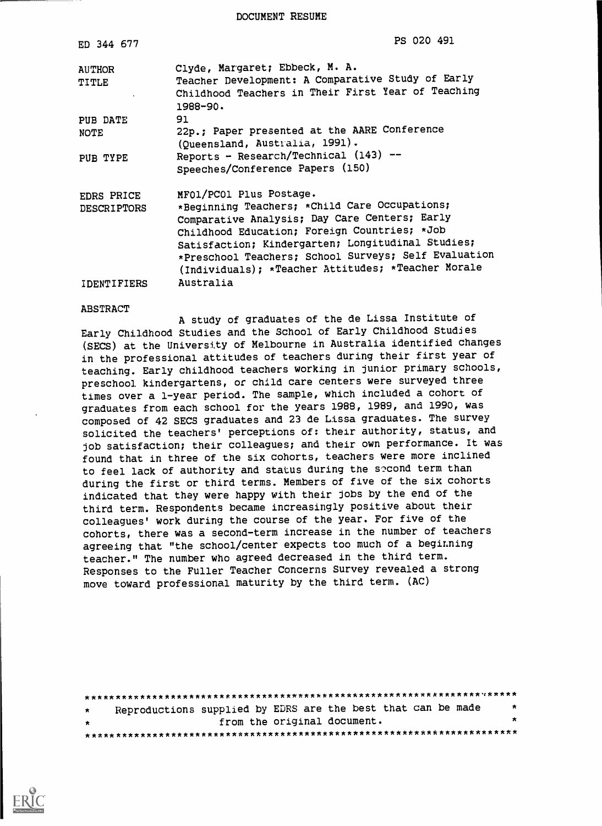DOCUMENT RESUME

| ED 344 677                       | PS 020 491                                                                                                                                                                                                                                                                                                                                   |
|----------------------------------|----------------------------------------------------------------------------------------------------------------------------------------------------------------------------------------------------------------------------------------------------------------------------------------------------------------------------------------------|
| <b>AUTHOR</b><br>TITLE           | Clyde, Margaret; Ebbeck, M. A.<br>Teacher Development: A Comparative Study of Early<br>Childhood Teachers in Their First Year of Teaching<br>1988-90.                                                                                                                                                                                        |
| PUB DATE                         | 91                                                                                                                                                                                                                                                                                                                                           |
| <b>NOTE</b>                      | 22p.; Paper presented at the AARE Conference<br>(Queensland, Australia, 1991).                                                                                                                                                                                                                                                               |
| PUB TYPE                         | Reports - Research/Technical (143) --<br>Speeches/Conference Papers (150)                                                                                                                                                                                                                                                                    |
| EDRS PRICE<br><b>DESCRIPTORS</b> | MFOL/PCOl Plus Postage.<br>*Beginning Teachers; *Child Care Occupations;<br>Comparative Analysis; Day Care Centers; Early<br>Childhood Education; Foreign Countries; *Job<br>Satisfaction; Kindergarten; Longitudinal Studies;<br>*Preschool Teachers; School Surveys; Self Evaluation<br>(Individuals); *Teacher Attitudes; *Teacher Morale |
| IDENTIFIERS                      | Australia                                                                                                                                                                                                                                                                                                                                    |

#### ABSTRACT

A study of graduates of the de Lissa Institute of Early Childhood Studies and the School of Early Childhood Studjes (SECS) at the University of Melbourne in Australia identified changes in the professional attitudes of teachers during their first year of teaching. Early childhood teachers working in junior primary schools, preschool kindergartens, or child care centers were surveyed three times over a 1-year period. The sample, which included a cohort of graduates from each school for the years 1988, 1989, and 1990, was composed of 42 SECS graduates and 23 de Lissa graduates. The survey solicited the teachers' perceptions of: their authority, status, and job satisfaction; their colleagues; and their own performance. It was found that in three of the six cohorts, teachers were more inclined to feel lack of authority and status during the second term than during the first or third terms. Members of five of the six cohorts indicated that they were happy with their jobs by the end of the third term. Respondents became increasingly positive about their colleagues' work during the course of the year. For five of the cohorts, there was a second-term increase in the number of teachers agreeing that "the school/center expects too much of a beginning teacher." The number who agreed decreased in the third term. Responses to the Fuller Teacher Concerns Survey revealed a strong move toward professional maturity by the third term. (AC)

| $\star$ | Reproductions supplied by EDRS are the best that can be made |                             |  |  |  |  | * |
|---------|--------------------------------------------------------------|-----------------------------|--|--|--|--|---|
| $\star$ |                                                              | from the original document. |  |  |  |  | × |
|         |                                                              |                             |  |  |  |  |   |

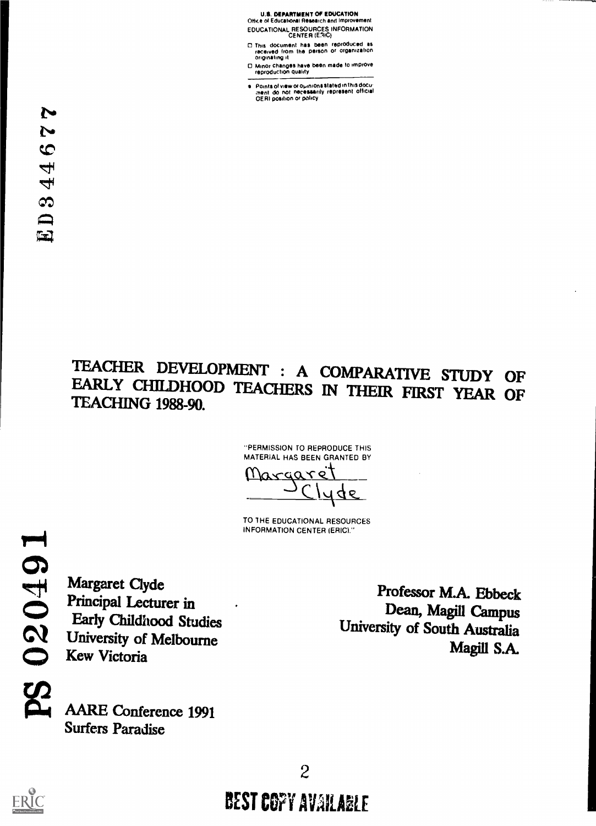#### U.S. DEPARTMENT Of EDUCATION Office of Educational Research and Improvement

EDUCATIONAL RESOURCES INFORMATION CENTER (ERIC)

- 0 This document has been reproduced as received from the person or organization originating it
- 0 Minor changes have been made to Improve reproduction quality
- ை Points of view or opinions stated in this docu:<br>;ment: do: not: necessarily: represent: official<br>OERI position or policy

# TEACHER DEVELOPMENT : A COMPARATIVE STUDY OF EARLY CHILDHOOD TEACHERS IN THEIR FIRST YEAR OF TEACHING 1988-90.

-PERMISSION TO REPRODUCE THIS MATERIAL HAS BEEN GRANTED BY

<u>Margare</u>  $9D$ 

TO 1HE EDUCATIONAL RESOURCES INFORMATION CENTER (ERIC)."

Margaret Clyde Principal Lecturer in Early Childhood Studies University of Melbourne Kew Victoria

AARE Conference 1991 Surfers Paradise

Professor M.A. Ebbeck Dean, Magill Campus University of South Australia Magill S.A.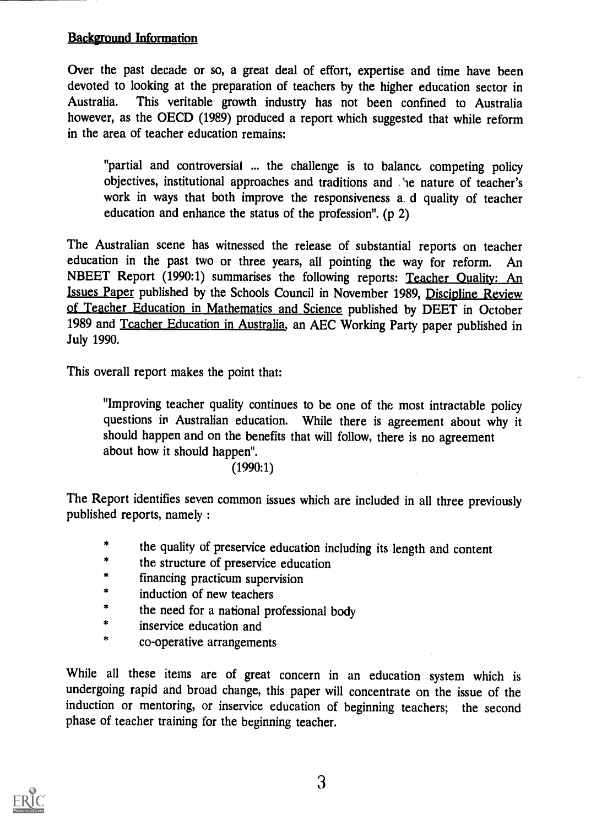## Backeround Information

Over the past decade or so, a great deal of effort, expertise and time have been devoted to looking at the preparation of teachers by the higher education sector in Australia. This veritable growth industry has not been confined to Australia however, as the OECD (1989) produced a report which suggested that while reform in the area of teacher education remains:

"partial and controversial ... the challenge is to balance competing policy objectives, institutional approaches and traditions and the nature of teacher's work in ways that both improve the responsiveness a. d quality of teacher education and enhance the status of the profession". (p 2)

The Australian scene has witnessed the release of substantial reports on teacher education in the past two or three years, all pointing the way for reform. An NBEET Report (1990:1) summarises the following reports: Teacher Quality: An Issues Paper published by the Schools Council in November 1989, Discipline Review of Teacher Education in Mathematics and Science published by DEET in October 1989 and Teacher Education in Australia, an AEC Working Party paper published in July 1990.

This overall report makes the point that:

"Improving teacher quality continues to be one of the most intractable policy questions in Australian education. While there is agreement about why it should happen and on the benefits that will follow, there is no agreement about how it should happen".

#### (1990:1)

The Report identifies seven common issues which are included in all three previously published reports, namely :

- the quality of preservice education including its length and content
- the structure of preservice education  $\ast$
- $\pmb{\ast}$ financing practicum supervision
- $\pmb{\ast}$ induction of new teachers
- $\color{red}$ the need for a national professional body
- $\bigstar$ inservice education and
- $\star$ co-operative arrangements

While all these items are of great concern in an education system which is undergoing rapid and broad change, this paper will concentrate on the issue of the induction or mentoring, or inservice education of beginning teachers; the second phase of teacher training for the beginning teacher.

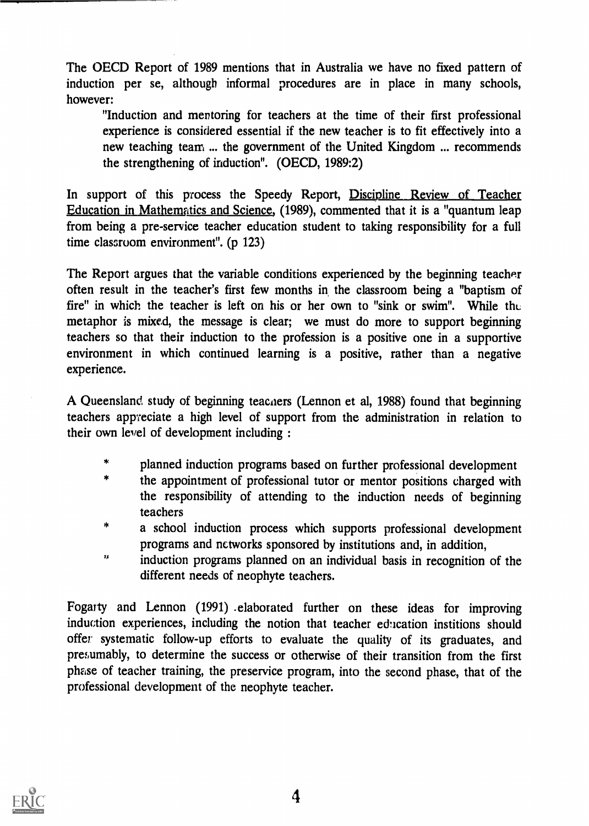The OECD Report of 1989 mentions that in Australia we have no fixed pattern of induction per se, although informal procedures are in place in many schools, however:

"Induction and mentoring for teachers at the time of their first professional experience is considered essential if the new teacher is to fit effectively into a new teaching team ... the goverment of the United Kingdom ... recommends the strengthening of induction". (OECD, 1989:2)

In support of this process the Speedy Report, Discipline Review of Teacher Education in Mathematics and Science, (1989), commented that it is a "quantum leap from being a pre-service teacher education student to taking responsibility for a full time classroom environment". (p 123)

The Report argues that the variable conditions experienced by the beginning teacher often result in the teacher's first few months in the classroom being a "baptism of fire" in which the teacher is left on his or her own to "sink or swim". While the metaphor is mixed, the message is clear; we must do more to support beginning teachers so that their induction to the profession is a positive one in a supportive environment in which continued learning is a positive, rather than a negative experience.

A Queensland study of beginning teachers (Lennon et al, 1988) found that beginning teachers appreciate a high level of support from the administration in relation to their own level of development including :

- $\star$ planned induction programs based on further professional development
- $\ast$ the appointment of professional tutor or mentor positions charged with the responsibility of attending to the induction needs of beginning teachers
- $\pmb{\ast}$ a school induction process which supports professional development programs and networks sponsored by institutions and, in addition,
- induction programs planned on an individual basis in recognition of the  $\mathbf{r}_k$ different needs of neophyte teachers.

Fogarty and Lennon (1991) .elaborated further on these ideas for improving induction experiences, including the notion that teacher education institions should offer systematic follow-up efforts to evaluate the quality of its graduates, and presumably, to determine the success or otherwise of their transition from the first phase of teacher training, the preservice program, into the second phase, that of the professional development of the neophyte teacher.

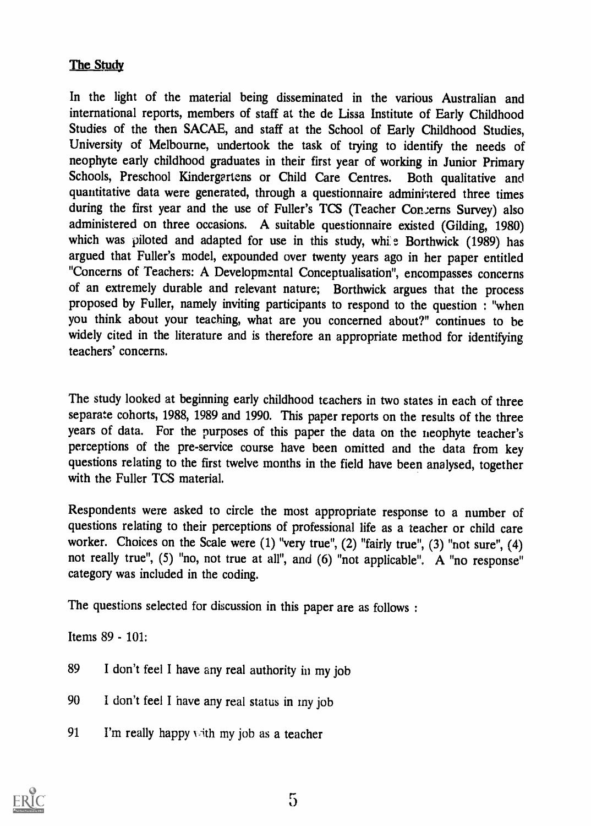# The Study

In the light of the material being disseminated in the various Australian and international reports, members of staff at the de Lissa Institute of Early Childhood Studies of the then SACAE, and staff at the School of Early Childhood Studies, University of Melbourne, undertook the task of trying to identify the needs of neophyte early childhood graduates in their first year of working in Junior Primary Schools, Preschool Kindergartens or Child Care Centres. Both qualitative and quantitative data were generated, through a questionnaire administered three times during the first year and the use of Fuller's TCS (Teacher Concerns Survey) also administered on three occasions. A suitable questionnaire existed (Gilding, 1980) which was piloted and adapted for use in this study, while Borthwick (1989) has argued that Fuller's model, expounded over twenty years ago in her paper entitled "Concerns of Teachers: A Developmental Conceptualisation", encompasses concerns of an extremely durable and relevant nature; Borthwick argues that the process proposed by Fuller, namely inviting participants to respond to the question : "when you think about your teaching, what are you concerned about?" continues to be widely cited in the literature and is therefore an appropriate method for identifying teachers' concerns.

The study looked at beginning early childhood teachers in two states in each of three separate cohorts, 1988, 1989 and 1990. This paper reports on the results of the three years of data. For the purposes of this paper the data on the neophyte teacher's perceptions of the pre-service course have been omitted and the data from key questions relating to the first twelve months in the field have been analysed, together with the Fuller TCS material.

Respondents were asked to circle the most appropriate response to a number of questions relating to their perceptions of professional life as a teacher or child care worker. Choices on the Scale were (1) "very true", (2) "fairly true", (3) "not sure", (4) not really true", (5) "no, not true at all", and (6) "not applicable". A "no response" category was included in the coding.

The questions selected for discussion in this paper are as follows :

Items 89 - 101:

- 89 I don't feel I have any real authority in my job
- 90 I don't feel I have any real status in my job
- 91 I'm really happy with my job as a teacher

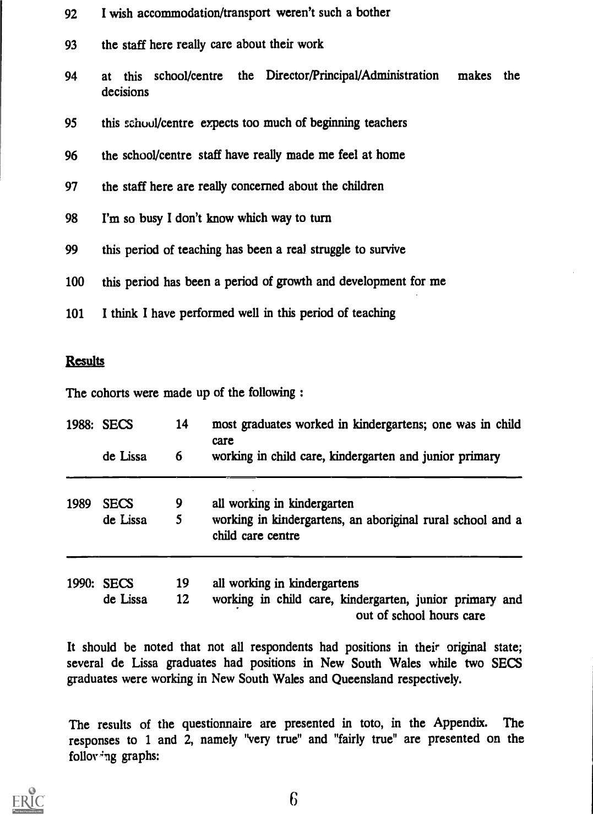| 92         | I wish accommodation/transport weren't such a bother                                     |
|------------|------------------------------------------------------------------------------------------|
| 93         | the staff here really care about their work                                              |
| 94         | this school/centre the Director/Principal/Administration<br>makes the<br>at<br>decisions |
| 95         | this school/centre expects too much of beginning teachers                                |
| 96         | the school/centre staff have really made me feel at home                                 |
| 97         | the staff here are really concerned about the children                                   |
| 98         | I'm so busy I don't know which way to turn                                               |
| 99         | this period of teaching has been a real struggle to survive                              |
| <b>100</b> | this period has been a period of growth and development for me                           |
| 101        | I think I have performed well in this period of teaching                                 |

#### **Results**

The cohorts were made up of the following :

|      | 1988: SECS  | 14 | most graduates worked in kindergartens; one was in child<br>care<br>working in child care, kindergarten and junior primary |  |  |  |  |  |  |
|------|-------------|----|----------------------------------------------------------------------------------------------------------------------------|--|--|--|--|--|--|
|      | de Lissa    | 6  |                                                                                                                            |  |  |  |  |  |  |
| 1989 | <b>SECS</b> | 9  | all working in kindergarten                                                                                                |  |  |  |  |  |  |
|      | de Lissa    | 5  | working in kindergartens, an aboriginal rural school and a<br>child care centre                                            |  |  |  |  |  |  |
|      | 1990: SECS  | 19 | all working in kindergartens                                                                                               |  |  |  |  |  |  |
|      | de Lissa    | 12 | working in child care, kindergarten, junior primary and<br>out of school hours care                                        |  |  |  |  |  |  |

It should be noted that not all respondents had positions in their original state; several de Lissa graduates had positions in New South Wales while two SECS graduates were working in New South Wales and Queensland respectively.

The results of the questionnaire are presented in toto, in the Appendix. The responses to 1 and 2, namely "very true" and "fairly true" are presented on the folloving graphs:

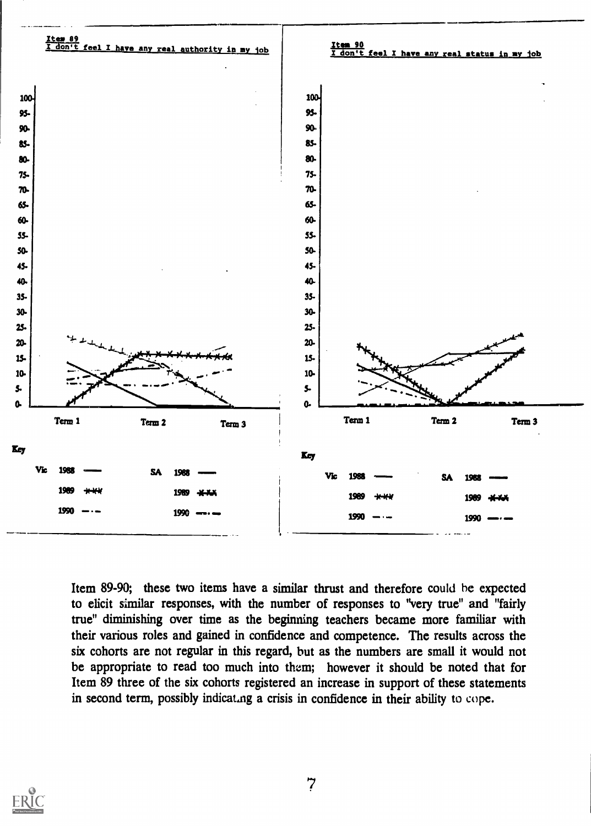

Item 89-90; these two items have a similar thrust and therefore could he expected to elicit similar responses, with the number of responses to "very true" and "fairly true" diminishing over time as the beginning teachers became more familiar with their various roles and gained in confidence and competence. The results across the six cohorts are not regular in this regard, but as the numbers are small it would not be appropriate to read too much into them; however it should be noted that for Item 89 three of the six cohorts registered an increase in support of these statements in second term, possibly indicating a crisis in confidence in their ability to cope.

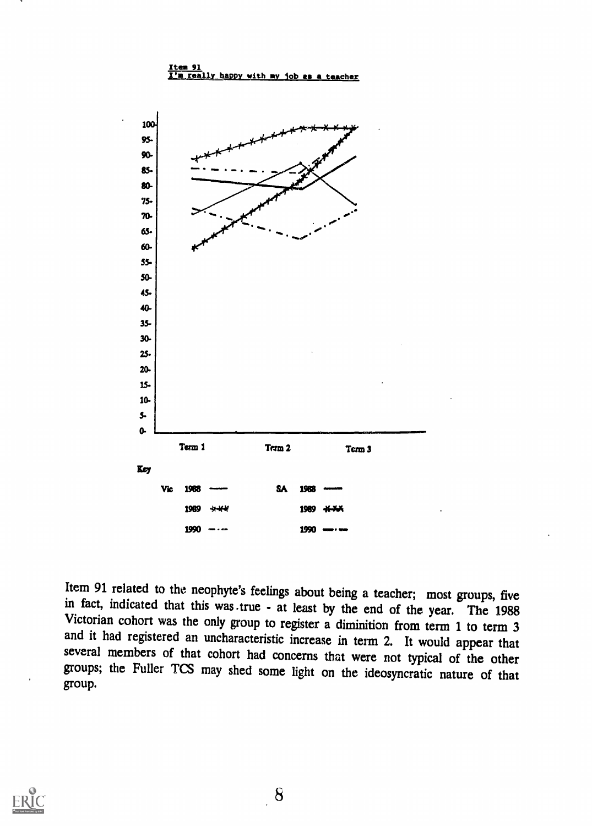

Item 91 related to the neophyte's feelings about being a teacher; most groups, five in fact, indicated that this was true - at least by the end of the year. The 1988 Victorian cohort was the only group to register a diminition from term 1 to term 3 and it had registered an uncharacteristic increase in term 2. It would appear that several members of that cohort had concerns that were no group.



8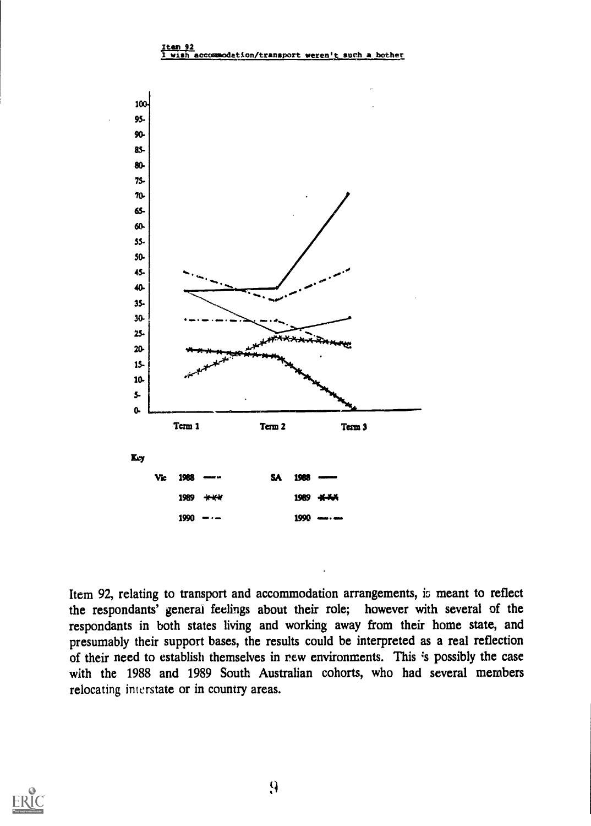#### <u>Iten 92</u><br>I wish acco dation/transport weren



Item 92, relating to transport and accommodation arrangements, is meant to reflect the respondants' general feelings about their role; however with several of the respondants in both states living and working away from their home state, and presumably their support bases, the results could be interpreted as a real reflection of their need to establish themselves in rew environments. This 's possibly the case with the 1988 and 1989 South Australian cohorts, who had several members relocating interstate or in country areas.

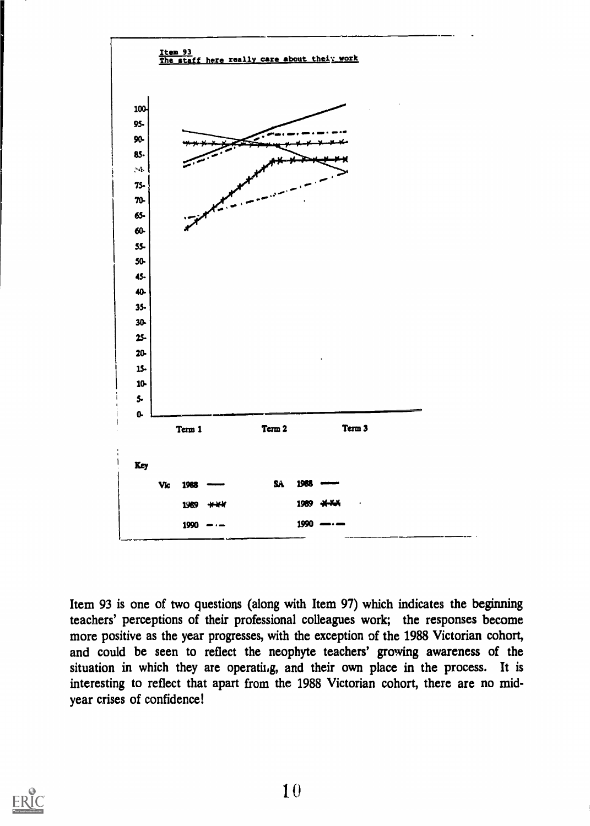

Item 93 is one of two questions (along with Item 97) which indicates the beginning teachers' perceptions of their professional colleagues work; the responses become more positive as the year progresses, with the exception of the 1988 Victorian cohort, and could be seen to reflect the neophyte teachers' growing awareness of the situation in which they are operating, and their own place in the process. It is interesting to reflect that apart from the 1988 Victorian cohort, there are no midyear crises of confidence!

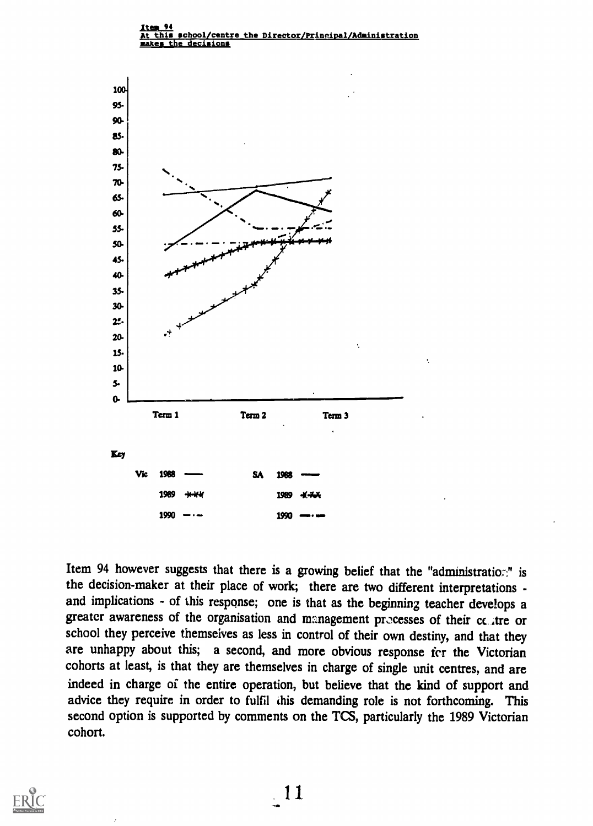

Item 94 however suggests that there is a growing belief that the "administration" is the decision-maker at their place of work; there are two different interpretations and implications - of this response; one is that as the beginning teacher develops a greater awareness of the organisation and management processes of their cc. tre or school they perceive themseives as less in control of their own destiny, and that they are unhappy about this; a second, and more obvious response for the Victorian cohorts at least, is that they are themselves in charge of single unit centres, and are indeed in charge of the entire operation, but believe that the kind of support and advice they require in order to fulfil this demanding role is not forthcoming. This second option is supported by comments on the TCS, particularly the 1989 Victorian cohort.



11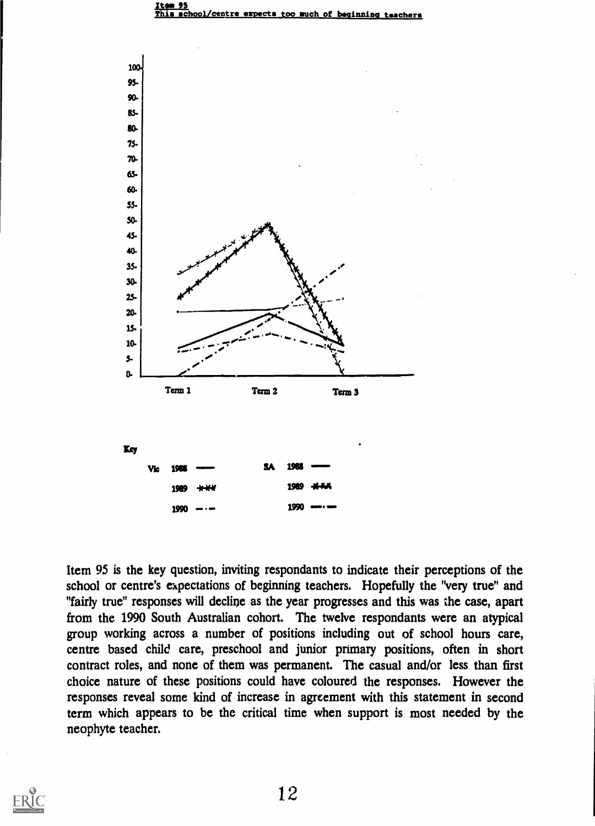



Item 95 is the key question, inviting respondants to indicate their perceptions of the school or centre's expectations of beginning teachers. Hopefully the "very true" and "fairly true" responses will decline as the year progresses and this was the case, apart from the 1990 South Australian cohort. The twelve respondants were an atypical group working across a number of positions including out of school hours care, centre based child care, preschool and junior primary positions, often in short contract roles, and none of them was permanent. The casual and/or less than first choice nature of these positions could have coloured the responses. However the responses reveal some kind of increase in agreement with this statement in second term which appears to be the critical time when support is most needed by the neophyte teacher.



12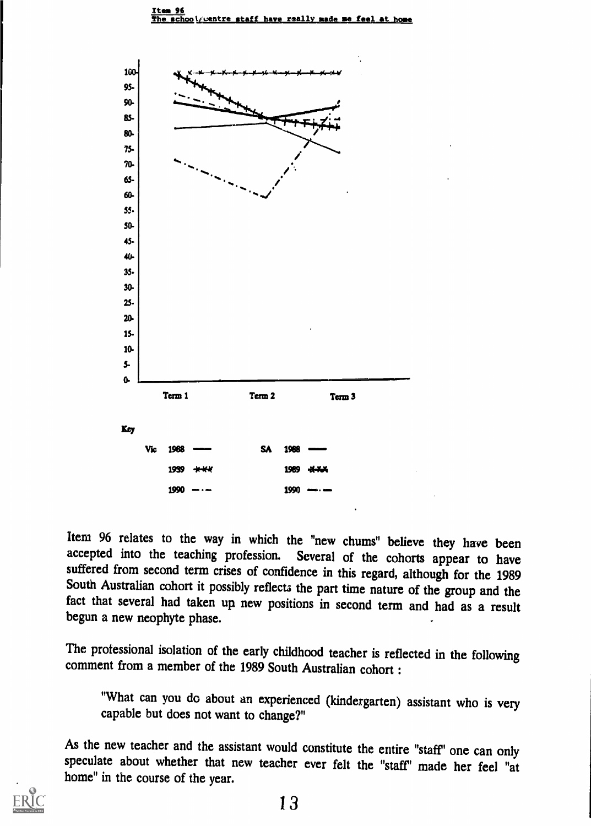

Item 96 relates to the way in which the "new chums" believe they have been accepted into the teaching profession. Several of the cohorts appear to have suffered from second term crises of confidence in this regard, although for the 1989 South Australian cohort it possibly reflects the part time nature of the group and the fact that several had taken up new positions in second term and had as a result begun a new neophyte phase.

The professional isolation of the early childhood teacher is reflected in the following comment from a member of the 1989 South Australian cohort :

"What can you do about an experienced (kindergarten) assistant who is very capable but does not want to change?"

As the new teacher and the assistant would constitute the entire "staff' one can only speculate about whether that new teacher ever felt the "staff' made her feel "at home" in the course of the year.

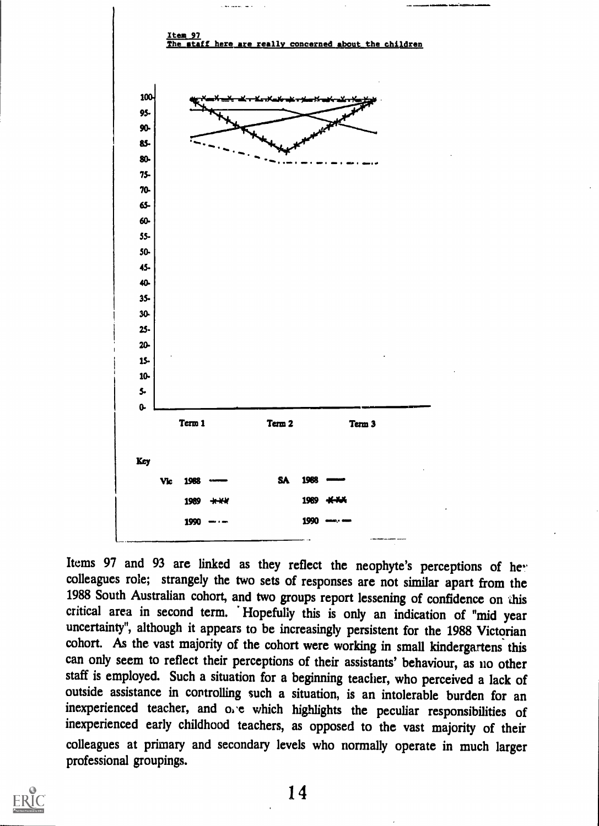

Items 97 and 93 are linked as they reflect the neophyte's perceptions of he. colleagues role; strangely the two sets of responses are not similar apart from the 1988 South Australian cohort, and two groups report lessening of confidence on this critical area in second term. Hopefully this is only an indication of "mid year uncertainty", although it appears to be increasingly persistent for the 1988 Victorian cohort. As the vast majority of the cohort were working in small kindergartens this can only seem to reflect their perceptions of their assistants' behaviour, as no other staff is employed. Such a situation for a beginning teacher, who perceived a lack of outside assistance in controlling such a situation, is an intolerable burden for an inexperienced teacher, and one which highlights the peculiar responsibilities of inexperienced early childhood teachers, as opposed to the vast majority of their colleagues at primary and secondary levels who normally operate in much larger professional groupings.

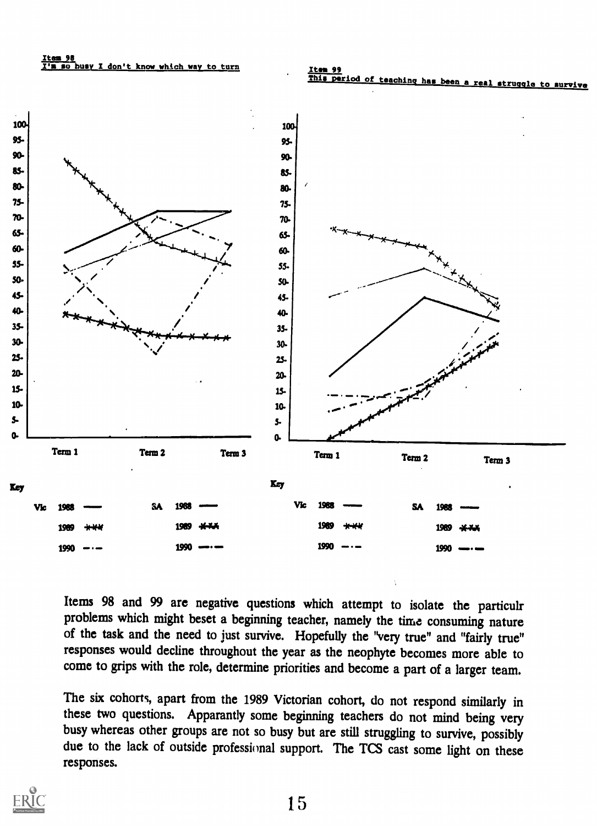100





Items 98 and 99 are negative questions which attempt to isolate the particulr problems which might beset a beginning teacher, namely the time consuming nature of the task and the need to just survive. Hopefully the "very true" and "fairly true" responses would decline throughout the year as the neophyte becomes more able to come to grips with the role, determine priorities and become a part of a larger team.

The six cohorts, apart from the 1989 Victorian cohort, do not respond similarly in these two questions. Apparantly some beginning teachers do not mind being very busy whereas other groups are not so busy but are still struggling to survive, possibly due to the lack of outside professional support. The TCS cast some light on these responses.



15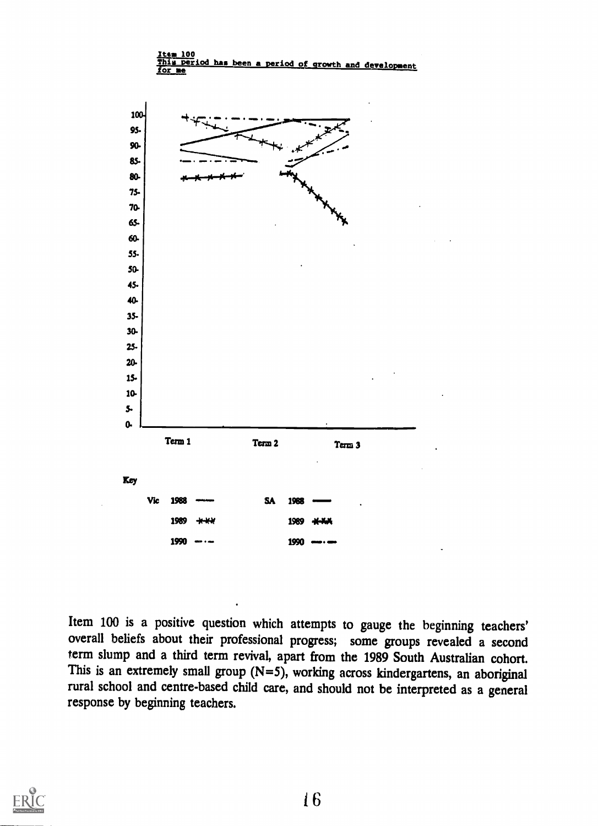

Item 100 is a positive question which attempts to gauge the beginning teachers' overall beliefs about their professional progress; some groups revealed a second term slump and a third term revival, apart from the 1989 South Australian cohort.<br>This is an extremely small group  $(N=5)$ , working across kindergartens, an aboriginal rural school and centre-based child care, and should not be interpreted as a general response by beginning teachers.

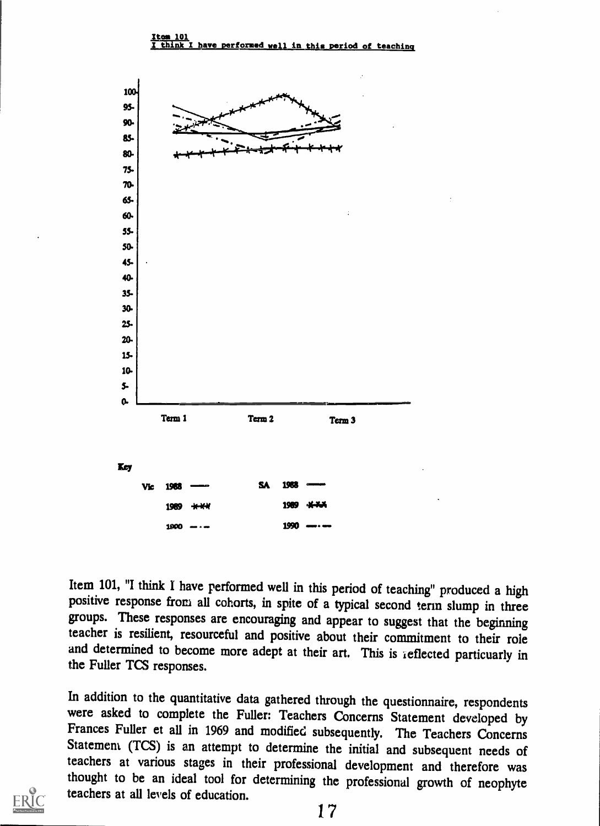

Item 101, "I think I have performed well in this period of teaching" produced a high positive response from all cohorts, in spite of a typical second term slump in three groups. These responses are encouraging and appear to suggest that the beginning teacher is resilient, resourceful and positive about their commitment to their role and determined to become more adept at their art. This is reflected particuarly in the Fuller Tcs responses.

In addition to the quantitative data gathered through the questionnaire, respondents were asked to complete the Fuller: Teachers Concerns Statement developed by Frances Fuller et all in 1969 and modified subsequently. The Statement (TCS) is an attempt to determine the initial and subsequent needs of teachers at various stages in their professional development and therefore was thought to be an ideal tool for determining the professional growth of neophyte teachers at all levels of education.

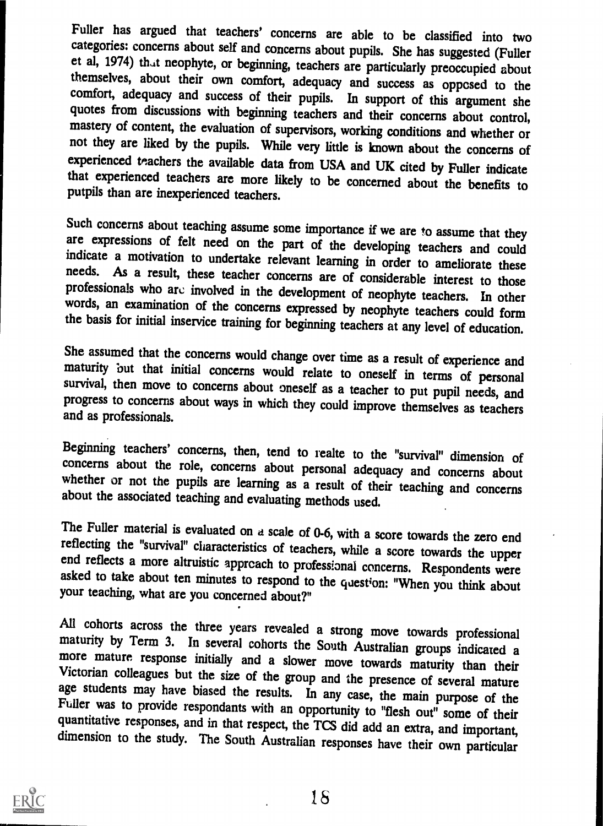Fuller has argued that teachers' concerns are able to be classified into two categories: concerns about self and concerns about pupils. She has suggested (Fuller et al, 1974) that neophyte, or beginning, teachers are particularly preoccupied about themselves, about their own comfort, adequacy and success as opposed to the comfort, adequacy and success of their pupils. In support of quotes from discussions with beginning teachers and their concerns about control, mastery of content, the evaluation of supervisors, working conditions and whether or not they are liked by the pupils. While very little is experienced teachers the available data from USA and UK cited by Fuller indicate that experienced teachers are more likely to be concerned about the benefits to putpils than are inexperienced teachers.

Such concerns about teaching assume some importance if we are to assume that they are expressions of felt need on the part of the developing teachers and could indicate a motivation to undertake relevant learning in order

She assumed that the concerns would change over time as a result of experience and maturity but that initial concerns would relate to oneself in terms of personal survival, then move to concerns about oneself as a teacher

Beginning teachers' concerns, then, tend to realte to the "survival" dimension of concerns about the role, concerns about personal adequacy and concerns about whether or not the pupils are learning as a result of their tea

The Fuller material is evaluated on a scale of 0-6, with a score towards the zero end reflecting the "survival" characteristics of teachers, while a score towards the upper end reflects a more altruistic appreach to profes

All cohorts across the three years revealed a strong move towards professional maturity by Term 3. In several cohorts the South Australian groups indicated a more mature response initially and a slower move towards maturit

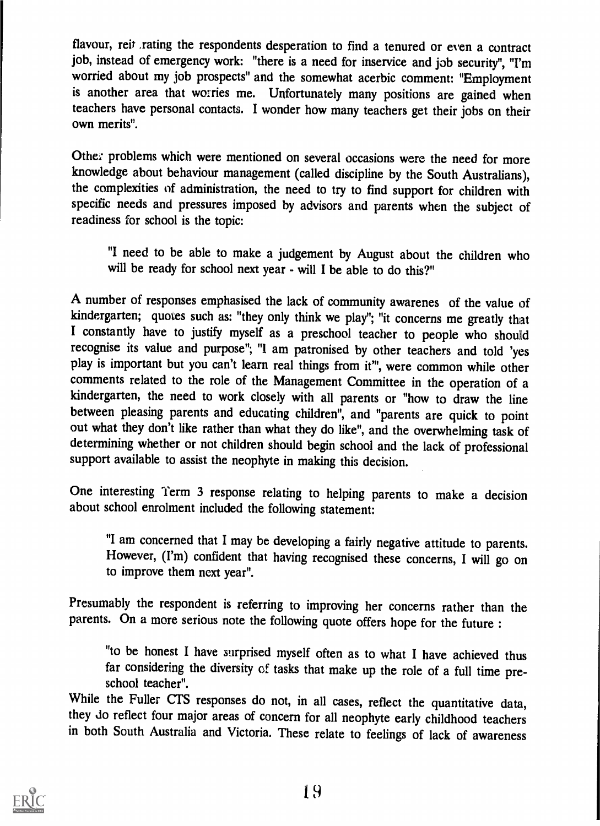flavour, reit .rating the respondents desperation to find a tenured or even a contract job, instead of emergency work: "there is a need for inservice and job security", "I'm worried about my job prospects" and the somewhat acerbic comment: "Employment is another area that worries me. Unfortunately many positions are gained when teachers have personal contacts. I wonder how many teachers get their jobs on their own merits".

Othe: problems which were mentioned on several occasions were the need for more knowledge about behaviour management (called discipline by the South Australians), the complexities of administration, the need to try to find support for children with specific needs and pressures imposed by advisors and parents when the subject of readiness for school is the topic:

"I need to be able to make a judgement by August about the children who will be ready for school next year - will I be able to do this?"

A number of responses emphasised the lack of community awarenes of the value of kindergarten; quotes such as: "they only think we play"; "it concerns me greatly that I constantly have to justify myself as a preschool teacher to people who should recognise its value and purpose"; "I am patronised by other teachers and told 'yes play is important but you can't learn real things from if", were common while other comments related to the role of the Management Committee in the operation of a kindergarten, the need to work closely with all parents or "how to draw the line between pleasing parents and educating children", and "parents are quick to point out what they don't like rather than what they do like", and the overwhelming task of determining whether or not children should begin school and the lack of professional support available to assist the neophyte in making this decision.

One interesting Term 3 response relating to helping parents to make a decision about school enrolment included the following statement:

"I am concerned that I may be developing a fairly negative attitude to parents. However, (I'm) confident that having recognised these concerns, I will go on to improve them next year".

Presumably the respondent is referring to improving her concerns rather than the parents. On a more serious note the following quote offers hope for the future :

"to be honest I have surprised myself often as to what I have achieved thus far considering the diversity of tasks that make up the role of a full time preschool teacher".

While the Fuller CIS responses do not, in all cases, reflect the quantitative data, they do reflect four major areas of concern for all neophyte early childhood teachers in both South Australia and Victoria. These relate to feelings of lack of awareness

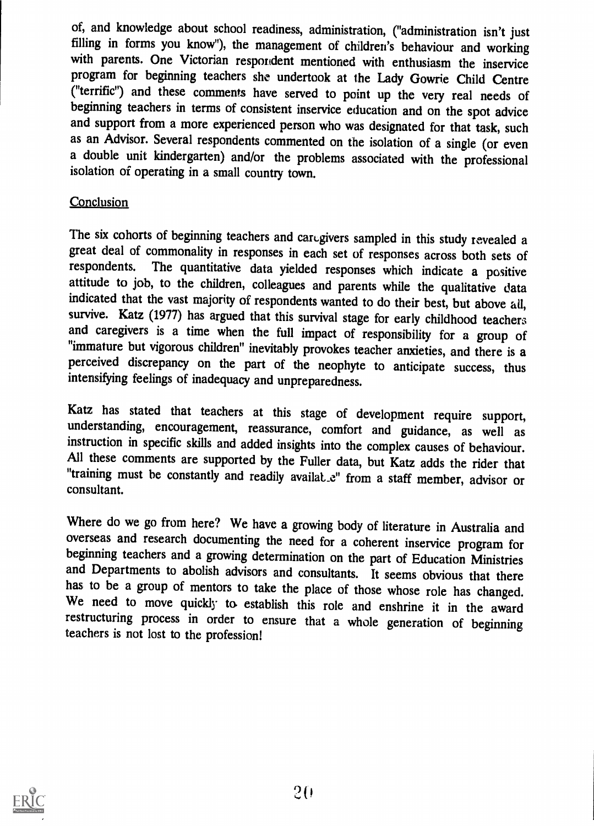of, and knowledge about school readiness, administration, ("administration isn't just filling in forms you know"), the management of children's behaviour and working with parents. One Victorian respondent mentioned with enthusiasm the inservice program for beginning teachers she undertook at the Lady Gowrie Child Centre ("terrific") and these comments have served to point up the very real needs of beginning teachers in terms of consistent inservice education and on the spot advice and support from a more experienced person who was designated for that task, such as an Advisor. Several respondents commented on the isolation of a single (or even a double unit kindergarten) and/or the problems associated with the professional isolation of operating in a small country town.

### **Conclusion**

The six cohorts of beginning teachers and caregivers sampled in this study revealed a great deal of commonality in responses in each set of responses across both sets of respondents. The quantitative data vielded responses which indicate a positive The quantitative data yielded responses which indicate a positive attitude to job, to the children, colleagues and parents while the qualitative data indicated that the vast majority of respondents wanted to do their best, but above all, survive. Katz (1977) has argued that this survival stage for early childhood teachers and caregivers is a time when the full impact of responsibility for a group of "immature but vigorous children" inevitably provokes teacher anxieties, and there is a perceived discrepancy on the part of the neophyte to anticipate success, thus intensifying feelings of inadequacy and unpreparedness.

Katz has stated that teachers at this stage of development require support, understanding, encouragement, reassurance, comfort and guidance, as well as instruction in specific skills and added insights into the complex causes of behaviour. All these comments are supported by the Fuller data, but Katz adds the rider that "training must be constantly and readily availat e" from a staff member, advisor or consultant.

Where do we go from here? We have a growing body of literature in Australia and overseas and research documenting the need for a coherent inservice program for beginning teachers and a growing determination on the part of Education Ministries<br>and Departments to abolish advisors and consultants. It seems obvious that there<br>has to be a group of mentors to take the place of those wh We need to move quickly to establish this role and enshrine it in the award restructuring process in order to ensure that a whole generation of beginning teachers is not lost to the profession!

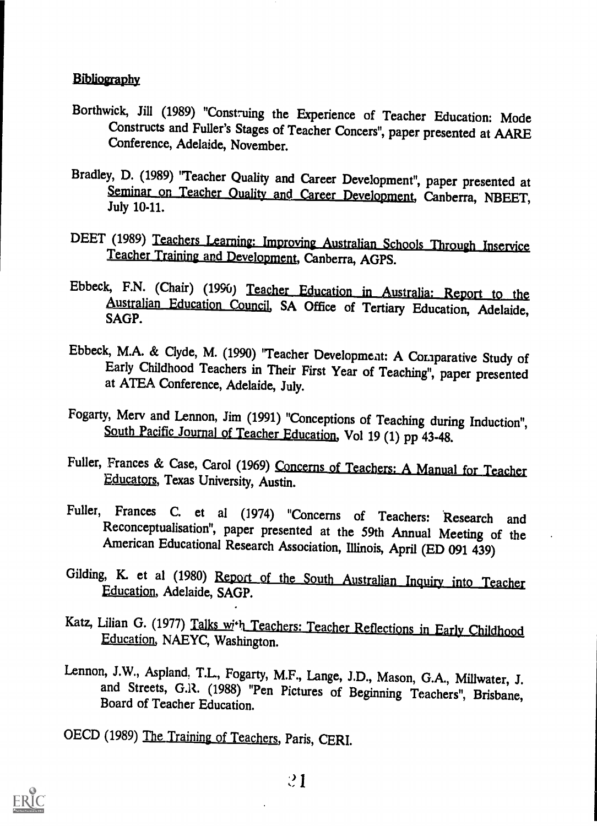#### **Bibliography**

- Borthwick, Jill (1989) "Construing the Experience of Teacher Education: Mode Constructs and Fuller's Stages of Teacher Concers", paper presented at AARE Conference, Adelaide, November.
- Bradley, D. (1989) "Teacher Quality and Career Development", paper presented at Seminar on Leacher Quality and Career Development, Canberra, NBEET,<br>July 10-11.
- DEET (1989) Teachers Learning: Improving Australian Schools Through Inservice Teacher Training and Development, Canberra, AGPS.
- Ebbeck, F.N. (Chair) (1996) Teacher Education in Australia: Report to the Australian Education Council, SA Office of Tertiary Education, Adel<br>SAGP. Adelaide,
- Ebbeck, M.A. & Clyde, M. (1990) "Teacher Development: A Comparative Study of Early Childhood Teachers in Their First Year of Teaching", paper presented at ATEA Conference, Adelaide, July.
- Fogarty, Merv and Lennon, Jim (1991) "Conceptions of Teaching during Induction", South Pacific Journal of Teacher Education, Vol 19 (1) pp 43-48.
- Fuller, Frances & Case, Carol (1969) Concerns of Teachers: A Manual for Teacher Educators, Texas University, Austin.
- Fuller, Frances C. et al (1974) "Concerns of Teachers: Research and<br>Reconceptualisation", paper presented at the 59th Annual Meeting of the American Educational Research Association, Illinois, April (ED 091 439)
- Gilding, K. et al (1980) Report of the South Australian Inque Education, Adelaide, SAGP.
- Katz, Lilian G. (1977) Talks with Teachers: Teacher Reflections in Early Childhood Education, NAEYC, Washington.
- Lennon, J.W., Aspland, T.L., Fogarty, M.F., Lange, J.D., Mason, G.A., Millwater, J. and Streets, G.R. (1988) "Pen Pictures of Beginning Teachers", Brisbane, Board of Teacher Education.

OECD (1989) The Training of Teachers, Paris, CERI.